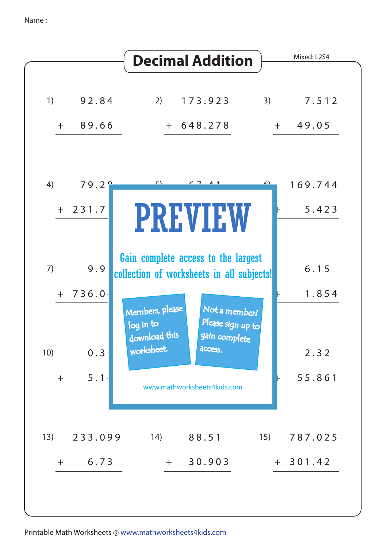